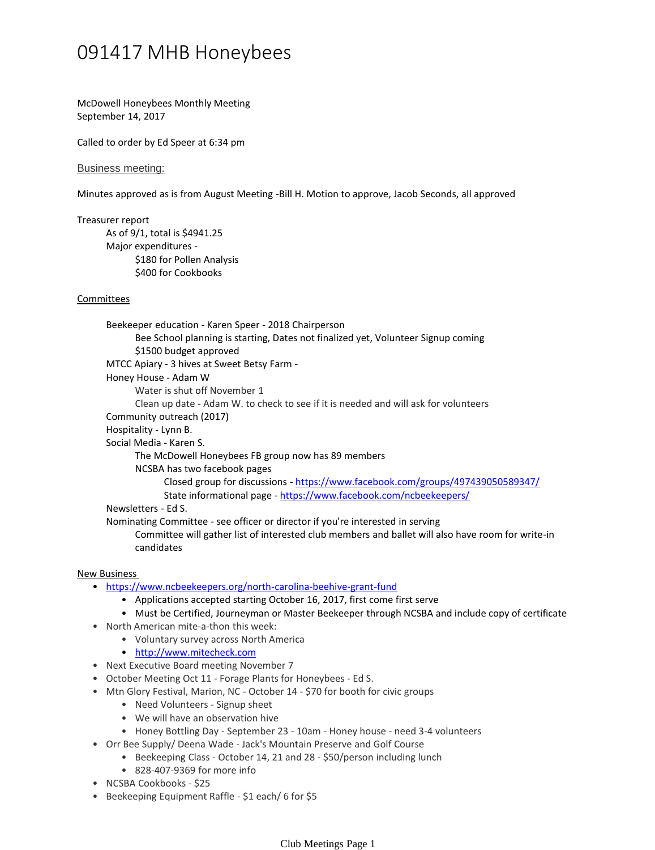## 091417 MHB Honeybees

McDowell Honeybees Monthly Meeting September 14, 2017

Called to order by Ed Speer at 6:34 pm

Business meeting:

Minutes approved as is from August Meeting -Bill H. Motion to approve, Jacob Seconds, all approved

Treasurer report

As of 9/1, total is \$4941.25 \$180 for Pollen Analysis \$400 for Cookbooks Major expenditures -

## Committees

Bee School planning is starting, Dates not finalized yet, Volunteer Signup coming \$1500 budget approved Beekeeper education - Karen Speer - 2018 Chairperson MTCC Apiary - 3 hives at Sweet Betsy Farm - Water is shut off November 1 Clean up date - Adam W. to check to see if it is needed and will ask for volunteers Honey House - Adam W Community outreach (2017) Hospitality - Lynn B. The McDowell Honeybees FB group now has 89 members Closed group for discussions - <https://www.facebook.com/groups/497439050589347/> State informational page - <https://www.facebook.com/ncbeekeepers/> NCSBA has two facebook pages Social Media - Karen S. Newsletters - Ed S. Committee will gather list of interested club members and ballet will also have room for write-in Nominating Committee - see officer or director if you're interested in serving

New Business

- <https://www.ncbeekeepers.org/north-carolina-beehive-grant-fund>
	- Applications accepted starting October 16, 2017, first come first serve
	- Must be Certified, Journeyman or Master Beekeeper through NCSBA and include copy of certificate
- North American mite-a-thon this week:

candidates

- Voluntary survey across North America
- <http://www.mitecheck.com>
- Next Executive Board meeting November 7
- October Meeting Oct 11 Forage Plants for Honeybees Ed S.
- Mtn Glory Festival, Marion, NC October 14 \$70 for booth for civic groups
	- Need Volunteers Signup sheet
	- We will have an observation hive
	- Honey Bottling Day September 23 10am Honey house need 3-4 volunteers
- Orr Bee Supply/ Deena Wade Jack's Mountain Preserve and Golf Course
	- Beekeeping Class October 14, 21 and 28 \$50/person including lunch
		- 828-407-9369 for more info
- NCSBA Cookbooks \$25
- Beekeeping Equipment Raffle \$1 each/ 6 for \$5